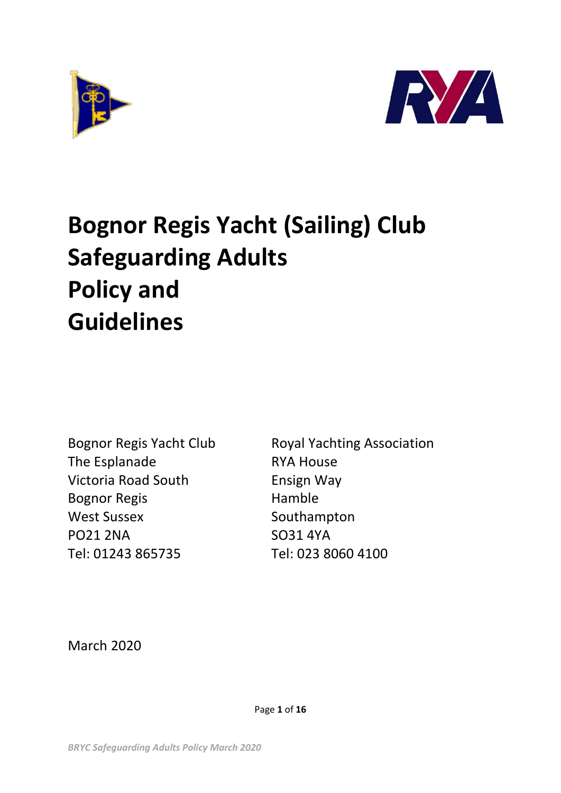



# **Bognor Regis Yacht (Sailing) Club Safeguarding Adults Policy and Guidelines**

The Esplanade RYA House Victoria Road South Ensign Way Bognor Regis **Hamble** West Sussex Southampton PO21 2NA SO31 4YA Tel: 01243 865735 Tel: 023 8060 4100

Bognor Regis Yacht Club Royal Yachting Association

March 2020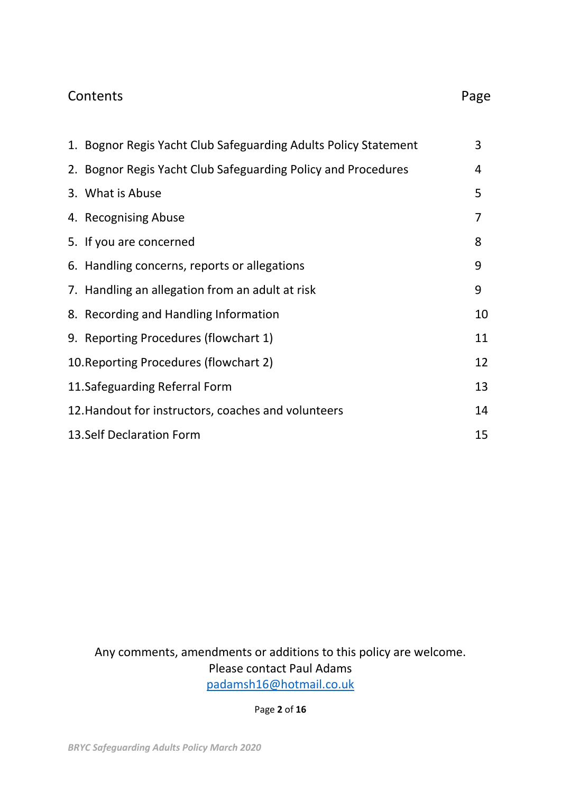### Contents **Page**

|                                 | 1. Bognor Regis Yacht Club Safeguarding Adults Policy Statement | 3  |  |
|---------------------------------|-----------------------------------------------------------------|----|--|
|                                 | 2. Bognor Regis Yacht Club Safeguarding Policy and Procedures   | 4  |  |
|                                 | 3. What is Abuse                                                | 5  |  |
|                                 | 4. Recognising Abuse                                            | 7  |  |
|                                 | 5. If you are concerned                                         | 8  |  |
|                                 | 6. Handling concerns, reports or allegations                    | 9  |  |
|                                 | 7. Handling an allegation from an adult at risk                 | 9  |  |
|                                 | 8. Recording and Handling Information                           | 10 |  |
|                                 | 9. Reporting Procedures (flowchart 1)                           | 11 |  |
|                                 | 10. Reporting Procedures (flowchart 2)                          | 12 |  |
|                                 | 11. Safeguarding Referral Form                                  | 13 |  |
|                                 | 14<br>12. Handout for instructors, coaches and volunteers       |    |  |
| 13. Self Declaration Form<br>15 |                                                                 |    |  |

Any comments, amendments or additions to this policy are welcome. Please contact Paul Adams [padamsh16@hotmail.co.uk](mailto:padamsh16@hotmail.co.uk)

Page **2** of **16**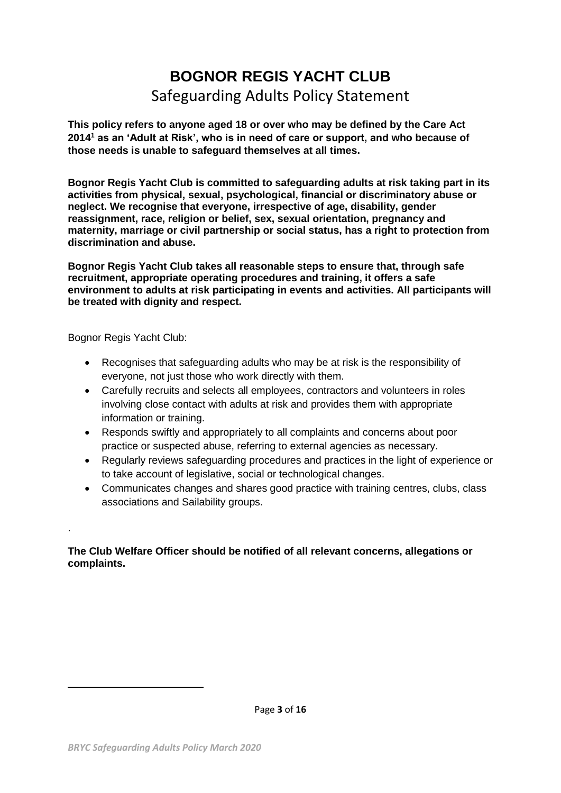## **BOGNOR REGIS YACHT CLUB** Safeguarding Adults Policy Statement

**This policy refers to anyone aged 18 or over who may be defined by the Care Act 2014<sup>1</sup> as an 'Adult at Risk', who is in need of care or support, and who because of those needs is unable to safeguard themselves at all times.** 

**Bognor Regis Yacht Club is committed to safeguarding adults at risk taking part in its activities from physical, sexual, psychological, financial or discriminatory abuse or neglect. We recognise that everyone, irrespective of age, disability, gender reassignment, race, religion or belief, sex, sexual orientation, pregnancy and maternity, marriage or civil partnership or social status, has a right to protection from discrimination and abuse.** 

**Bognor Regis Yacht Club takes all reasonable steps to ensure that, through safe recruitment, appropriate operating procedures and training, it offers a safe environment to adults at risk participating in events and activities. All participants will be treated with dignity and respect.**

Bognor Regis Yacht Club:

.

**.** 

- Recognises that safeguarding adults who may be at risk is the responsibility of everyone, not just those who work directly with them.
- Carefully recruits and selects all employees, contractors and volunteers in roles involving close contact with adults at risk and provides them with appropriate information or training.
- Responds swiftly and appropriately to all complaints and concerns about poor practice or suspected abuse, referring to external agencies as necessary.
- Regularly reviews safeguarding procedures and practices in the light of experience or to take account of legislative, social or technological changes.
- Communicates changes and shares good practice with training centres, clubs, class associations and Sailability groups.

#### **The Club Welfare Officer should be notified of all relevant concerns, allegations or complaints.**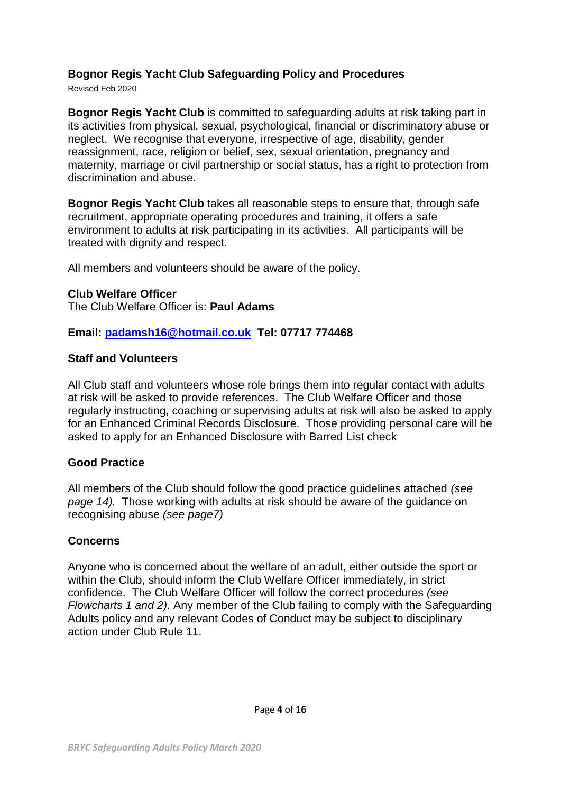#### **Bognor Regis Yacht Club Safeguarding Policy and Procedures**

Revised Feb 2020

**Bognor Regis Yacht Club** is committed to safeguarding adults at risk taking part in its activities from physical, sexual, psychological, financial or discriminatory abuse or neglect. We recognise that everyone, irrespective of age, disability, gender reassignment, race, religion or belief, sex, sexual orientation, pregnancy and maternity, marriage or civil partnership or social status, has a right to protection from discrimination and abuse.

**Bognor Regis Yacht Club** takes all reasonable steps to ensure that, through safe recruitment, appropriate operating procedures and training, it offers a safe environment to adults at risk participating in its activities. All participants will be treated with dignity and respect.

All members and volunteers should be aware of the policy.

#### **Club Welfare Officer**

The Club Welfare Officer is: **Paul Adams**

**Email: [padamsh16@hotmail.co.uk](mailto:padamsh16@hotmail.co.uk) Tel: 07717 774468**

#### **Staff and Volunteers**

All Club staff and volunteers whose role brings them into regular contact with adults at risk will be asked to provide references. The Club Welfare Officer and those regularly instructing, coaching or supervising adults at risk will also be asked to apply for an Enhanced Criminal Records Disclosure. Those providing personal care will be asked to apply for an Enhanced Disclosure with Barred List check

#### **Good Practice**

All members of the Club should follow the good practice guidelines attached *(see page 14).* Those working with adults at risk should be aware of the guidance on recognising abuse *(see page7)*

#### **Concerns**

Anyone who is concerned about the welfare of an adult, either outside the sport or within the Club, should inform the Club Welfare Officer immediately, in strict confidence. The Club Welfare Officer will follow the correct procedures *(see Flowcharts 1 and 2)*. Any member of the Club failing to comply with the Safeguarding Adults policy and any relevant Codes of Conduct may be subject to disciplinary action under Club Rule 11.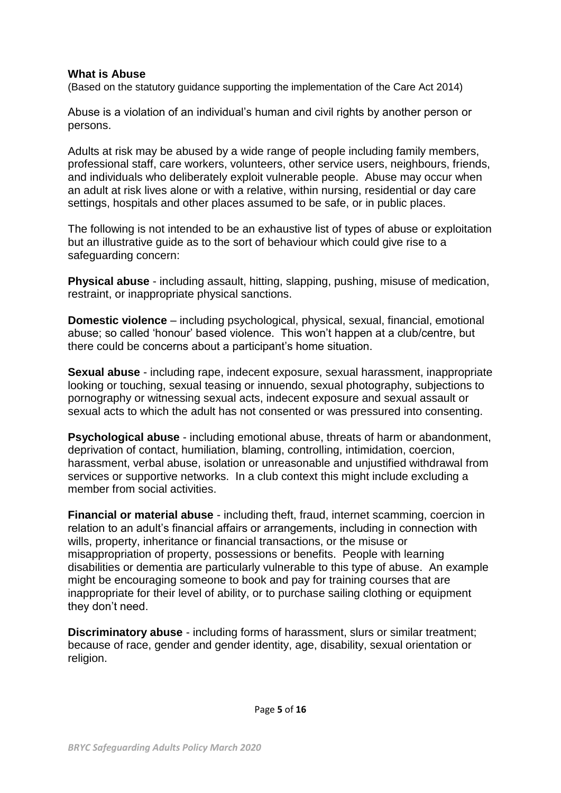#### **What is Abuse**

(Based on the statutory guidance supporting the implementation of the Care Act 2014)

Abuse is a violation of an individual's human and civil rights by another person or persons.

Adults at risk may be abused by a wide range of people including family members, professional staff, care workers, volunteers, other service users, neighbours, friends, and individuals who deliberately exploit vulnerable people. Abuse may occur when an adult at risk lives alone or with a relative, within nursing, residential or day care settings, hospitals and other places assumed to be safe, or in public places.

The following is not intended to be an exhaustive list of types of abuse or exploitation but an illustrative guide as to the sort of behaviour which could give rise to a safeguarding concern:

**Physical abuse** - including assault, hitting, slapping, pushing, misuse of medication, restraint, or inappropriate physical sanctions.

**Domestic violence** – including psychological, physical, sexual, financial, emotional abuse; so called 'honour' based violence. This won't happen at a club/centre, but there could be concerns about a participant's home situation.

**Sexual abuse** - including rape, indecent exposure, sexual harassment, inappropriate looking or touching, sexual teasing or innuendo, sexual photography, subjections to pornography or witnessing sexual acts, indecent exposure and sexual assault or sexual acts to which the adult has not consented or was pressured into consenting.

**Psychological abuse** - including emotional abuse, threats of harm or abandonment, deprivation of contact, humiliation, blaming, controlling, intimidation, coercion, harassment, verbal abuse, isolation or unreasonable and unjustified withdrawal from services or supportive networks. In a club context this might include excluding a member from social activities.

**Financial or material abuse** - including theft, fraud, internet scamming, coercion in relation to an adult's financial affairs or arrangements, including in connection with wills, property, inheritance or financial transactions, or the misuse or misappropriation of property, possessions or benefits. People with learning disabilities or dementia are particularly vulnerable to this type of abuse. An example might be encouraging someone to book and pay for training courses that are inappropriate for their level of ability, or to purchase sailing clothing or equipment they don't need.

**Discriminatory abuse** - including forms of harassment, slurs or similar treatment; because of race, gender and gender identity, age, disability, sexual orientation or religion.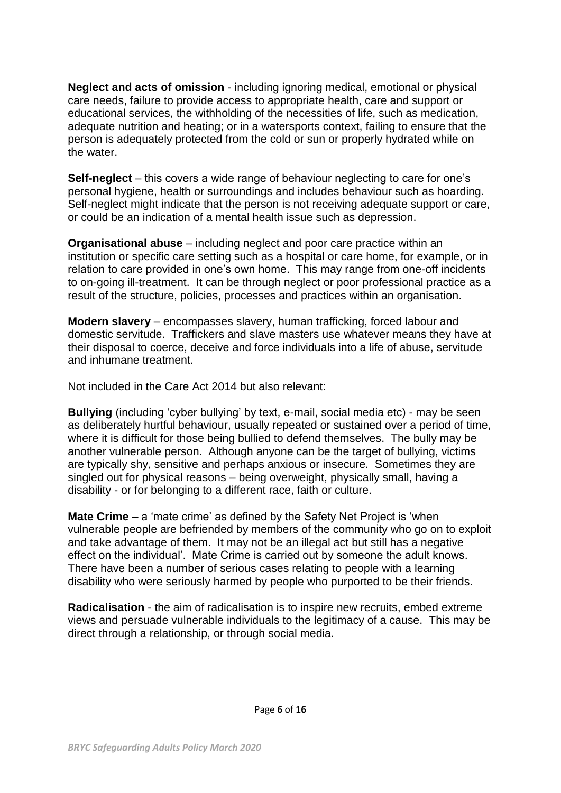**Neglect and acts of omission** - including ignoring medical, emotional or physical care needs, failure to provide access to appropriate health, care and support or educational services, the withholding of the necessities of life, such as medication, adequate nutrition and heating; or in a watersports context, failing to ensure that the person is adequately protected from the cold or sun or properly hydrated while on the water.

**Self-neglect** – this covers a wide range of behaviour neglecting to care for one's personal hygiene, health or surroundings and includes behaviour such as hoarding. Self-neglect might indicate that the person is not receiving adequate support or care, or could be an indication of a mental health issue such as depression.

**Organisational abuse** – including neglect and poor care practice within an institution or specific care setting such as a hospital or care home, for example, or in relation to care provided in one's own home. This may range from one-off incidents to on-going ill-treatment. It can be through neglect or poor professional practice as a result of the structure, policies, processes and practices within an organisation.

**Modern slavery** – encompasses slavery, human trafficking, forced labour and domestic servitude. Traffickers and slave masters use whatever means they have at their disposal to coerce, deceive and force individuals into a life of abuse, servitude and inhumane treatment.

Not included in the Care Act 2014 but also relevant:

**Bullying** (including 'cyber bullying' by text, e-mail, social media etc) - may be seen as deliberately hurtful behaviour, usually repeated or sustained over a period of time, where it is difficult for those being bullied to defend themselves. The bully may be another vulnerable person. Although anyone can be the target of bullying, victims are typically shy, sensitive and perhaps anxious or insecure. Sometimes they are singled out for physical reasons – being overweight, physically small, having a disability - or for belonging to a different race, faith or culture.

**Mate Crime** – a 'mate crime' as defined by the Safety Net Project is 'when vulnerable people are befriended by members of the community who go on to exploit and take advantage of them. It may not be an illegal act but still has a negative effect on the individual'. Mate Crime is carried out by someone the adult knows. There have been a number of serious cases relating to people with a learning disability who were seriously harmed by people who purported to be their friends.

**Radicalisation** - the aim of radicalisation is to inspire new recruits, embed extreme views and persuade vulnerable individuals to the legitimacy of a cause. This may be direct through a relationship, or through social media.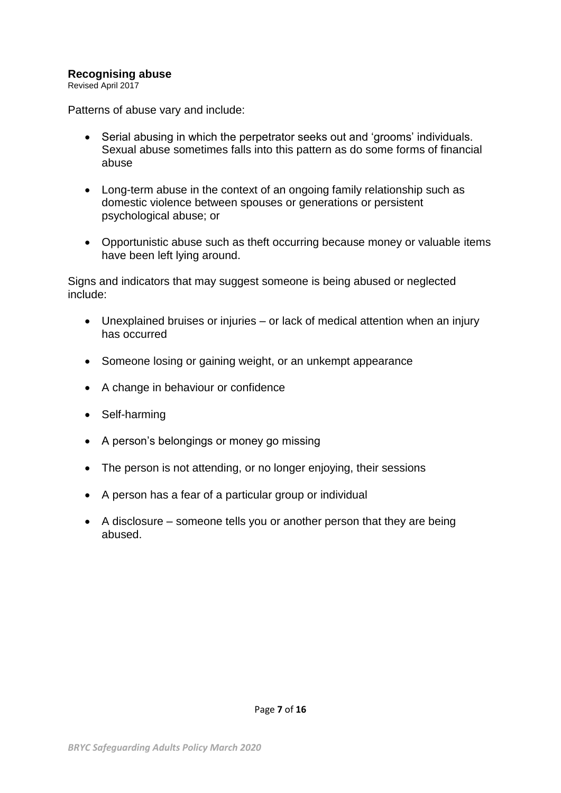#### **Recognising abuse**

Revised April 2017

Patterns of abuse vary and include:

- Serial abusing in which the perpetrator seeks out and 'grooms' individuals. Sexual abuse sometimes falls into this pattern as do some forms of financial abuse
- Long-term abuse in the context of an ongoing family relationship such as domestic violence between spouses or generations or persistent psychological abuse; or
- Opportunistic abuse such as theft occurring because money or valuable items have been left lying around.

Signs and indicators that may suggest someone is being abused or neglected include:

- Unexplained bruises or injuries or lack of medical attention when an injury has occurred
- Someone losing or gaining weight, or an unkempt appearance
- A change in behaviour or confidence
- Self-harming
- A person's belongings or money go missing
- The person is not attending, or no longer enjoying, their sessions
- A person has a fear of a particular group or individual
- $\bullet$  A disclosure someone tells you or another person that they are being abused.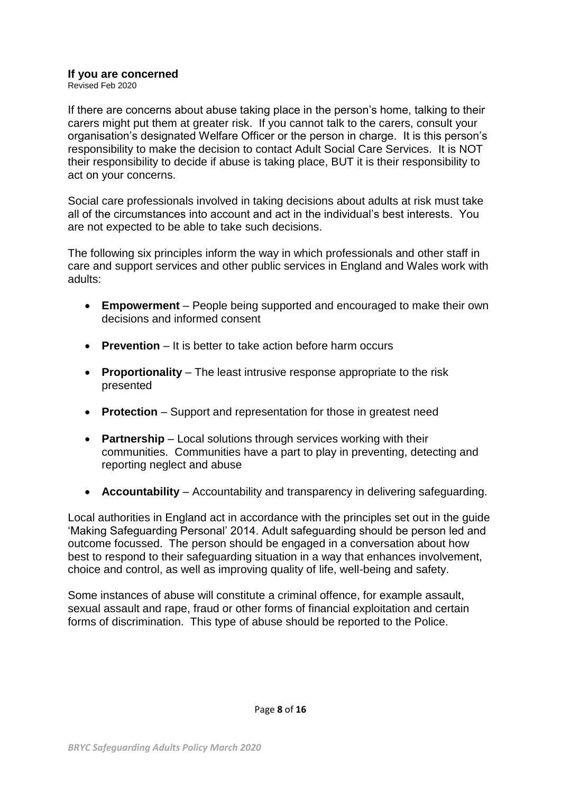#### **If you are concerned**

Revised Feb 2020

If there are concerns about abuse taking place in the person's home, talking to their carers might put them at greater risk. If you cannot talk to the carers, consult your organisation's designated Welfare Officer or the person in charge. It is this person's responsibility to make the decision to contact Adult Social Care Services. It is NOT their responsibility to decide if abuse is taking place, BUT it is their responsibility to act on your concerns.

Social care professionals involved in taking decisions about adults at risk must take all of the circumstances into account and act in the individual's best interests. You are not expected to be able to take such decisions.

The following six principles inform the way in which professionals and other staff in care and support services and other public services in England and Wales work with adults:

- **Empowerment** People being supported and encouraged to make their own decisions and informed consent
- **Prevention** It is better to take action before harm occurs
- **Proportionality** The least intrusive response appropriate to the risk presented
- **Protection** Support and representation for those in greatest need
- **Partnership** Local solutions through services working with their communities. Communities have a part to play in preventing, detecting and reporting neglect and abuse
- **Accountability** Accountability and transparency in delivering safeguarding.

Local authorities in England act in accordance with the principles set out in the guide 'Making Safeguarding Personal' 2014. Adult safeguarding should be person led and outcome focussed. The person should be engaged in a conversation about how best to respond to their safeguarding situation in a way that enhances involvement, choice and control, as well as improving quality of life, well-being and safety.

Some instances of abuse will constitute a criminal offence, for example assault, sexual assault and rape, fraud or other forms of financial exploitation and certain forms of discrimination. This type of abuse should be reported to the Police.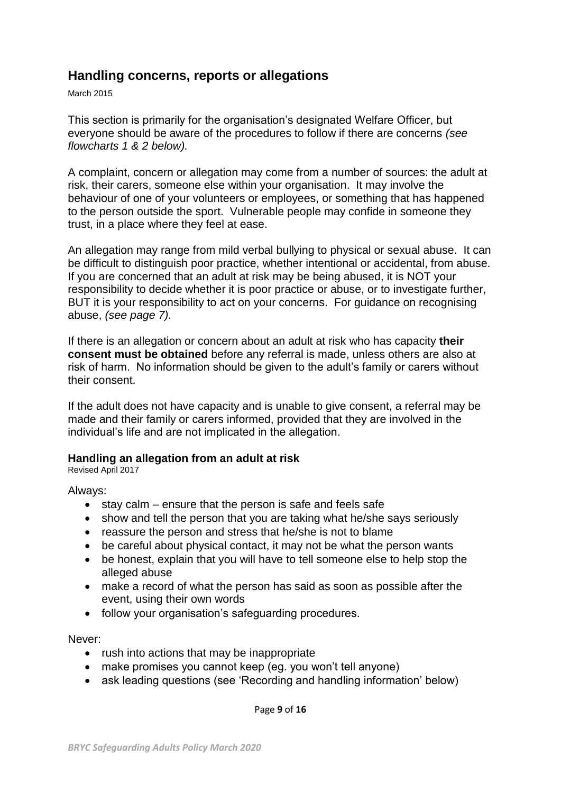#### **Handling concerns, reports or allegations**

March 2015

This section is primarily for the organisation's designated Welfare Officer, but everyone should be aware of the procedures to follow if there are concerns *(see flowcharts 1 & 2 below).*

A complaint, concern or allegation may come from a number of sources: the adult at risk, their carers, someone else within your organisation. It may involve the behaviour of one of your volunteers or employees, or something that has happened to the person outside the sport. Vulnerable people may confide in someone they trust, in a place where they feel at ease.

An allegation may range from mild verbal bullying to physical or sexual abuse. It can be difficult to distinguish poor practice, whether intentional or accidental, from abuse. If you are concerned that an adult at risk may be being abused, it is NOT your responsibility to decide whether it is poor practice or abuse, or to investigate further, BUT it is your responsibility to act on your concerns. For guidance on recognising abuse, *(see page 7).*

If there is an allegation or concern about an adult at risk who has capacity **their consent must be obtained** before any referral is made, unless others are also at risk of harm. No information should be given to the adult's family or carers without their consent.

If the adult does not have capacity and is unable to give consent, a referral may be made and their family or carers informed, provided that they are involved in the individual's life and are not implicated in the allegation.

#### **Handling an allegation from an adult at risk**

Revised April 2017

Always:

- $\bullet$  stay calm ensure that the person is safe and feels safe
- show and tell the person that you are taking what he/she says seriously
- reassure the person and stress that he/she is not to blame
- be careful about physical contact, it may not be what the person wants
- be honest, explain that you will have to tell someone else to help stop the alleged abuse
- make a record of what the person has said as soon as possible after the event, using their own words
- follow your organisation's safeguarding procedures.

Never:

- rush into actions that may be inappropriate
- make promises you cannot keep (eg. you won't tell anyone)
- ask leading questions (see 'Recording and handling information' below)

Page **9** of **16**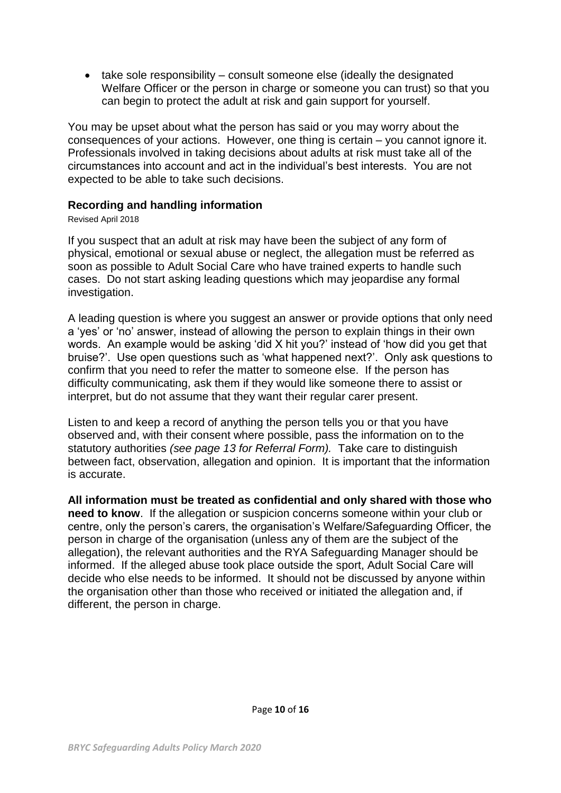take sole responsibility – consult someone else (ideally the designated Welfare Officer or the person in charge or someone you can trust) so that you can begin to protect the adult at risk and gain support for yourself.

You may be upset about what the person has said or you may worry about the consequences of your actions. However, one thing is certain – you cannot ignore it. Professionals involved in taking decisions about adults at risk must take all of the circumstances into account and act in the individual's best interests. You are not expected to be able to take such decisions.

#### **Recording and handling information**

#### Revised April 2018

If you suspect that an adult at risk may have been the subject of any form of physical, emotional or sexual abuse or neglect, the allegation must be referred as soon as possible to Adult Social Care who have trained experts to handle such cases. Do not start asking leading questions which may jeopardise any formal investigation.

A leading question is where you suggest an answer or provide options that only need a 'yes' or 'no' answer, instead of allowing the person to explain things in their own words. An example would be asking 'did X hit you?' instead of 'how did you get that bruise?'. Use open questions such as 'what happened next?'. Only ask questions to confirm that you need to refer the matter to someone else. If the person has difficulty communicating, ask them if they would like someone there to assist or interpret, but do not assume that they want their regular carer present.

Listen to and keep a record of anything the person tells you or that you have observed and, with their consent where possible, pass the information on to the statutory authorities *(see page 13 for Referral Form).* Take care to distinguish between fact, observation, allegation and opinion. It is important that the information is accurate.

**All information must be treated as confidential and only shared with those who need to know**. If the allegation or suspicion concerns someone within your club or centre, only the person's carers, the organisation's Welfare/Safeguarding Officer, the person in charge of the organisation (unless any of them are the subject of the allegation), the relevant authorities and the RYA Safeguarding Manager should be informed. If the alleged abuse took place outside the sport, Adult Social Care will decide who else needs to be informed. It should not be discussed by anyone within the organisation other than those who received or initiated the allegation and, if different, the person in charge.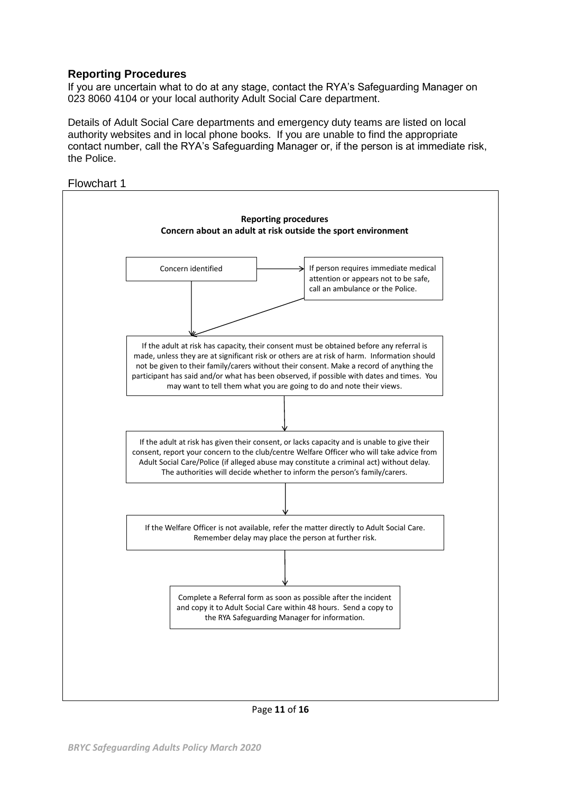#### **Reporting Procedures**

If you are uncertain what to do at any stage, contact the RYA's Safeguarding Manager on 023 8060 4104 or your local authority Adult Social Care department.

Details of Adult Social Care departments and emergency duty teams are listed on local authority websites and in local phone books. If you are unable to find the appropriate contact number, call the RYA's Safeguarding Manager or, if the person is at immediate risk, the Police.



Page **11** of **16**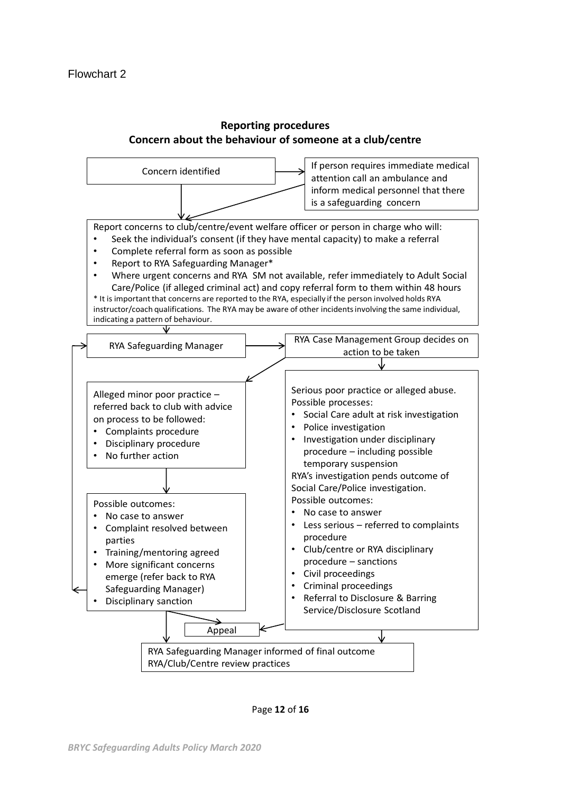#### **Reporting procedures Concern about the behaviour of someone at a club/centre**

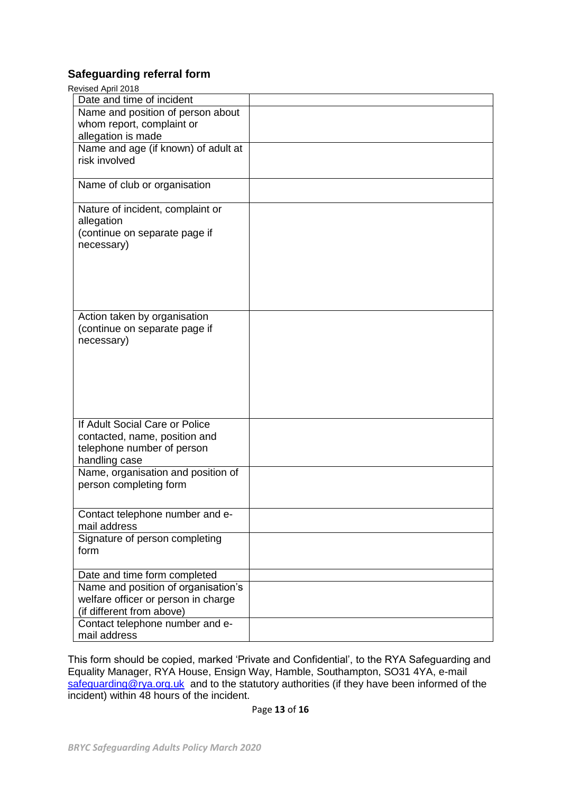#### **Safeguarding referral form**

| Revised April 2018                  |  |  |  |
|-------------------------------------|--|--|--|
| Date and time of incident           |  |  |  |
| Name and position of person about   |  |  |  |
| whom report, complaint or           |  |  |  |
| allegation is made                  |  |  |  |
| Name and age (if known) of adult at |  |  |  |
| risk involved                       |  |  |  |
|                                     |  |  |  |
| Name of club or organisation        |  |  |  |
| Nature of incident, complaint or    |  |  |  |
| allegation                          |  |  |  |
| (continue on separate page if       |  |  |  |
| necessary)                          |  |  |  |
|                                     |  |  |  |
|                                     |  |  |  |
|                                     |  |  |  |
|                                     |  |  |  |
|                                     |  |  |  |
| Action taken by organisation        |  |  |  |
| (continue on separate page if       |  |  |  |
| necessary)                          |  |  |  |
|                                     |  |  |  |
|                                     |  |  |  |
|                                     |  |  |  |
|                                     |  |  |  |
|                                     |  |  |  |
|                                     |  |  |  |
| If Adult Social Care or Police      |  |  |  |
| contacted, name, position and       |  |  |  |
| telephone number of person          |  |  |  |
| handling case                       |  |  |  |
| Name, organisation and position of  |  |  |  |
| person completing form              |  |  |  |
|                                     |  |  |  |
|                                     |  |  |  |
| Contact telephone number and e-     |  |  |  |
| mail address                        |  |  |  |
| Signature of person completing      |  |  |  |
| form                                |  |  |  |
| Date and time form completed        |  |  |  |
| Name and position of organisation's |  |  |  |
| welfare officer or person in charge |  |  |  |
| (if different from above)           |  |  |  |
| Contact telephone number and e-     |  |  |  |
| mail address                        |  |  |  |
|                                     |  |  |  |

This form should be copied, marked 'Private and Confidential', to the RYA Safeguarding and Equality Manager, RYA House, Ensign Way, Hamble, Southampton, SO31 4YA, e-mail [safeguarding@rya.org.uk](mailto:safeguarding@rya.org.uk) and to the statutory authorities (if they have been informed of the incident) within 48 hours of the incident.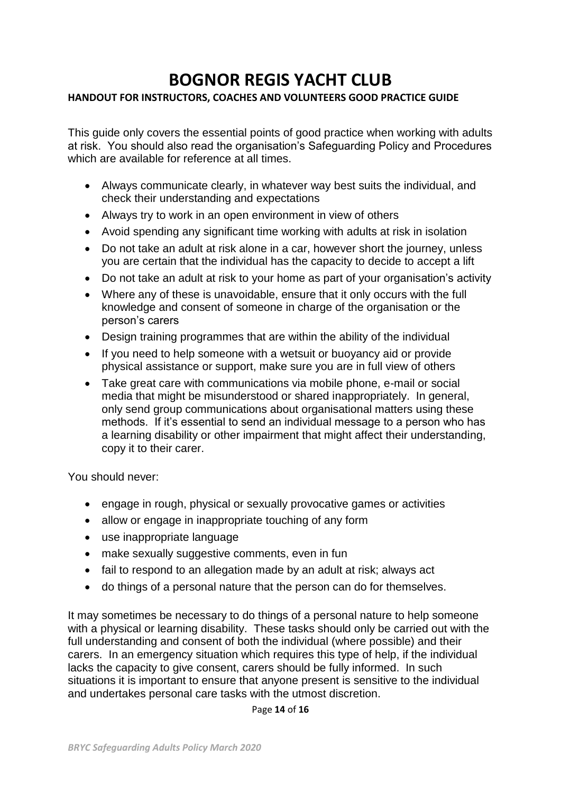## **BOGNOR REGIS YACHT CLUB**

#### **HANDOUT FOR INSTRUCTORS, COACHES AND VOLUNTEERS GOOD PRACTICE GUIDE**

This guide only covers the essential points of good practice when working with adults at risk. You should also read the organisation's Safeguarding Policy and Procedures which are available for reference at all times.

- Always communicate clearly, in whatever way best suits the individual, and check their understanding and expectations
- Always try to work in an open environment in view of others
- Avoid spending any significant time working with adults at risk in isolation
- Do not take an adult at risk alone in a car, however short the journey, unless you are certain that the individual has the capacity to decide to accept a lift
- Do not take an adult at risk to your home as part of your organisation's activity
- Where any of these is unavoidable, ensure that it only occurs with the full knowledge and consent of someone in charge of the organisation or the person's carers
- Design training programmes that are within the ability of the individual
- If you need to help someone with a wetsuit or buoyancy aid or provide physical assistance or support, make sure you are in full view of others
- Take great care with communications via mobile phone, e-mail or social media that might be misunderstood or shared inappropriately. In general, only send group communications about organisational matters using these methods. If it's essential to send an individual message to a person who has a learning disability or other impairment that might affect their understanding, copy it to their carer.

You should never:

- engage in rough, physical or sexually provocative games or activities
- allow or engage in inappropriate touching of any form
- use inappropriate language
- make sexually suggestive comments, even in fun
- fail to respond to an allegation made by an adult at risk; always act
- do things of a personal nature that the person can do for themselves.

It may sometimes be necessary to do things of a personal nature to help someone with a physical or learning disability. These tasks should only be carried out with the full understanding and consent of both the individual (where possible) and their carers. In an emergency situation which requires this type of help, if the individual lacks the capacity to give consent, carers should be fully informed. In such situations it is important to ensure that anyone present is sensitive to the individual and undertakes personal care tasks with the utmost discretion.

Page **14** of **16**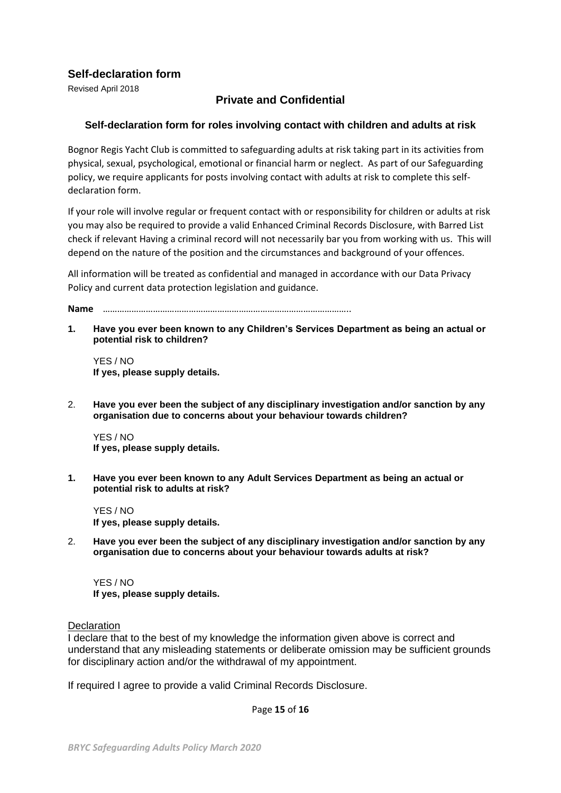#### **Self-declaration form**

Revised April 2018

#### **Private and Confidential**

#### **Self-declaration form for roles involving contact with children and adults at risk**

Bognor Regis Yacht Club is committed to safeguarding adults at risk taking part in its activities from physical, sexual, psychological, emotional or financial harm or neglect. As part of our Safeguarding policy, we require applicants for posts involving contact with adults at risk to complete this selfdeclaration form.

If your role will involve regular or frequent contact with or responsibility for children or adults at risk you may also be required to provide a valid Enhanced Criminal Records Disclosure, with Barred List check if relevant Having a criminal record will not necessarily bar you from working with us. This will depend on the nature of the position and the circumstances and background of your offences.

All information will be treated as confidential and managed in accordance with our Data Privacy Policy and current data protection legislation and guidance.

**Name** …………………………………………………………………………………………..

**1. Have you ever been known to any Children's Services Department as being an actual or potential risk to children?**

YES / NO **If yes, please supply details.**

2. **Have you ever been the subject of any disciplinary investigation and/or sanction by any organisation due to concerns about your behaviour towards children?**

YES / NO **If yes, please supply details.**

**1. Have you ever been known to any Adult Services Department as being an actual or potential risk to adults at risk?**

YES / NO **If yes, please supply details.**

2. **Have you ever been the subject of any disciplinary investigation and/or sanction by any organisation due to concerns about your behaviour towards adults at risk?**

YES / NO **If yes, please supply details.**

**Declaration** 

I declare that to the best of my knowledge the information given above is correct and understand that any misleading statements or deliberate omission may be sufficient grounds for disciplinary action and/or the withdrawal of my appointment.

If required I agree to provide a valid Criminal Records Disclosure.

Page **15** of **16**